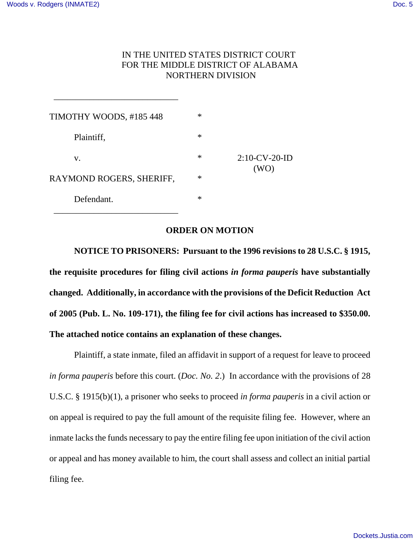## IN THE UNITED STATES DISTRICT COURT FOR THE MIDDLE DISTRICT OF ALABAMA NORTHERN DIVISION

| TIMOTHY WOODS, #185 448  | ∗      |                          |
|--------------------------|--------|--------------------------|
| Plaintiff,               | $\ast$ | $2:10$ -CV-20-ID<br>(WO) |
| V.                       | ∗      |                          |
| RAYMOND ROGERS, SHERIFF, | $\ast$ |                          |
| Defendant.               | $\ast$ |                          |

\_\_\_\_\_\_\_\_\_\_\_\_\_\_\_\_\_\_\_\_\_\_\_\_\_\_\_\_

 $\frac{1}{2}$  , and the set of the set of the set of the set of the set of the set of the set of the set of the set of the set of the set of the set of the set of the set of the set of the set of the set of the set of the set

## **ORDER ON MOTION**

**NOTICE TO PRISONERS: Pursuant to the 1996 revisions to 28 U.S.C. § 1915, the requisite procedures for filing civil actions** *in forma pauperis* **have substantially changed. Additionally, in accordance with the provisions of the Deficit Reduction Act of 2005 (Pub. L. No. 109-171), the filing fee for civil actions has increased to \$350.00. The attached notice contains an explanation of these changes.**

Plaintiff, a state inmate, filed an affidavit in support of a request for leave to proceed *in forma pauperis* before this court. (*Doc. No. 2*.) In accordance with the provisions of 28 U.S.C. § 1915(b)(1), a prisoner who seeks to proceed *in forma pauperis* in a civil action or on appeal is required to pay the full amount of the requisite filing fee. However, where an inmate lacks the funds necessary to pay the entire filing fee upon initiation of the civil action or appeal and has money available to him, the court shall assess and collect an initial partial filing fee.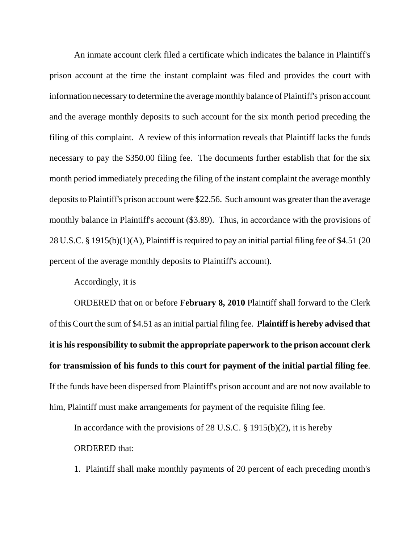An inmate account clerk filed a certificate which indicates the balance in Plaintiff's prison account at the time the instant complaint was filed and provides the court with information necessary to determine the average monthly balance of Plaintiff's prison account and the average monthly deposits to such account for the six month period preceding the filing of this complaint. A review of this information reveals that Plaintiff lacks the funds necessary to pay the \$350.00 filing fee. The documents further establish that for the six month period immediately preceding the filing of the instant complaint the average monthly deposits to Plaintiff's prison account were \$22.56. Such amount was greater than the average monthly balance in Plaintiff's account (\$3.89). Thus, in accordance with the provisions of 28 U.S.C. § 1915(b)(1)(A), Plaintiff is required to pay an initial partial filing fee of \$4.51 (20 percent of the average monthly deposits to Plaintiff's account).

Accordingly, it is

ORDERED that on or before **February 8, 2010** Plaintiff shall forward to the Clerk of this Court the sum of \$4.51 as an initial partial filing fee. **Plaintiff is hereby advised that it is his responsibility to submit the appropriate paperwork to the prison account clerk for transmission of his funds to this court for payment of the initial partial filing fee**. If the funds have been dispersed from Plaintiff's prison account and are not now available to him, Plaintiff must make arrangements for payment of the requisite filing fee.

In accordance with the provisions of 28 U.S.C.  $\S$  1915(b)(2), it is hereby ORDERED that:

1. Plaintiff shall make monthly payments of 20 percent of each preceding month's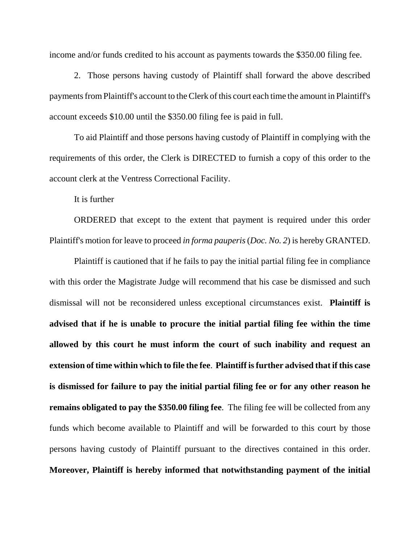income and/or funds credited to his account as payments towards the \$350.00 filing fee.

2. Those persons having custody of Plaintiff shall forward the above described payments from Plaintiff's account to the Clerk of this court each time the amount in Plaintiff's account exceeds \$10.00 until the \$350.00 filing fee is paid in full.

To aid Plaintiff and those persons having custody of Plaintiff in complying with the requirements of this order, the Clerk is DIRECTED to furnish a copy of this order to the account clerk at the Ventress Correctional Facility.

It is further

ORDERED that except to the extent that payment is required under this order Plaintiff's motion for leave to proceed *in forma pauperis* (*Doc. No. 2*) is hereby GRANTED.

Plaintiff is cautioned that if he fails to pay the initial partial filing fee in compliance with this order the Magistrate Judge will recommend that his case be dismissed and such dismissal will not be reconsidered unless exceptional circumstances exist. **Plaintiff is advised that if he is unable to procure the initial partial filing fee within the time allowed by this court he must inform the court of such inability and request an extension of time within which to file the fee**. **Plaintiff is further advised that if this case is dismissed for failure to pay the initial partial filing fee or for any other reason he remains obligated to pay the \$350.00 filing fee**. The filing fee will be collected from any funds which become available to Plaintiff and will be forwarded to this court by those persons having custody of Plaintiff pursuant to the directives contained in this order. **Moreover, Plaintiff is hereby informed that notwithstanding payment of the initial**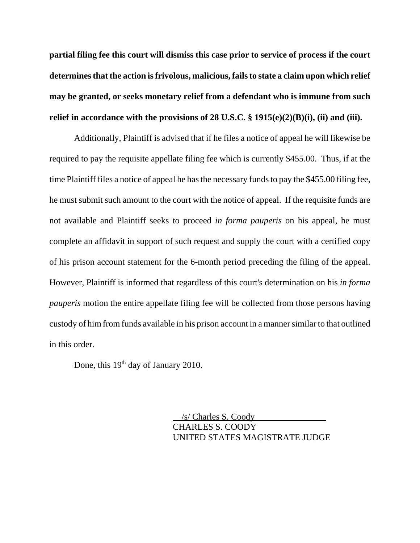**partial filing fee this court will dismiss this case prior to service of process if the court determines that the action is frivolous, malicious, fails to state a claim upon which relief may be granted, or seeks monetary relief from a defendant who is immune from such relief in accordance with the provisions of 28 U.S.C. § 1915(e)(2)(B)(i), (ii) and (iii).**

Additionally, Plaintiff is advised that if he files a notice of appeal he will likewise be required to pay the requisite appellate filing fee which is currently \$455.00. Thus, if at the time Plaintiff files a notice of appeal he has the necessary funds to pay the \$455.00 filing fee, he must submit such amount to the court with the notice of appeal. If the requisite funds are not available and Plaintiff seeks to proceed *in forma pauperis* on his appeal, he must complete an affidavit in support of such request and supply the court with a certified copy of his prison account statement for the 6-month period preceding the filing of the appeal. However, Plaintiff is informed that regardless of this court's determination on his *in forma pauperis* motion the entire appellate filing fee will be collected from those persons having custody of him from funds available in his prison account in a manner similar to that outlined in this order.

Done, this 19<sup>th</sup> day of January 2010.

 /s/ Charles S. Coody CHARLES S. COODY UNITED STATES MAGISTRATE JUDGE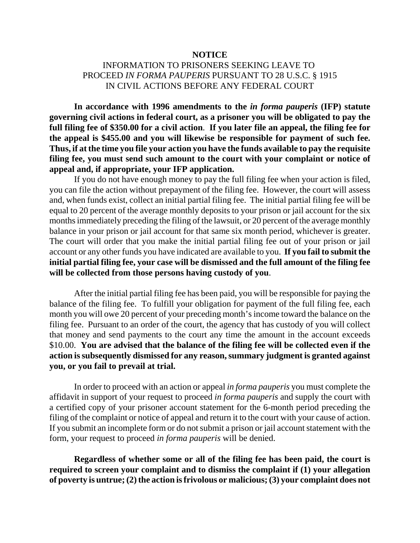## **NOTICE**

## INFORMATION TO PRISONERS SEEKING LEAVE TO PROCEED *IN FORMA PAUPERIS* PURSUANT TO 28 U.S.C. § 1915 IN CIVIL ACTIONS BEFORE ANY FEDERAL COURT

**In accordance with 1996 amendments to the** *in forma pauperis* **(IFP) statute governing civil actions in federal court, as a prisoner you will be obligated to pay the full filing fee of \$350.00 for a civil action**. **If you later file an appeal, the filing fee for the appeal is \$455.00 and you will likewise be responsible for payment of such fee. Thus, if at the time you file your action you have the funds available to pay the requisite filing fee, you must send such amount to the court with your complaint or notice of appeal and, if appropriate, your IFP application.** 

If you do not have enough money to pay the full filing fee when your action is filed, you can file the action without prepayment of the filing fee. However, the court will assess and, when funds exist, collect an initial partial filing fee. The initial partial filing fee will be equal to 20 percent of the average monthly deposits to your prison or jail account for the six months immediately preceding the filing of the lawsuit, or 20 percent of the average monthly balance in your prison or jail account for that same six month period, whichever is greater. The court will order that you make the initial partial filing fee out of your prison or jail account or any other funds you have indicated are available to you. **If you fail to submit the initial partial filing fee, your case will be dismissed and the full amount of the filing fee will be collected from those persons having custody of you**.

After the initial partial filing fee has been paid, you will be responsible for paying the balance of the filing fee. To fulfill your obligation for payment of the full filing fee, each month you will owe 20 percent of your preceding month's income toward the balance on the filing fee. Pursuant to an order of the court, the agency that has custody of you will collect that money and send payments to the court any time the amount in the account exceeds \$10.00. **You are advised that the balance of the filing fee will be collected even if the action is subsequently dismissed for any reason, summary judgment is granted against you, or you fail to prevail at trial.** 

In order to proceed with an action or appeal *in forma pauperis* you must complete the affidavit in support of your request to proceed *in forma pauperis* and supply the court with a certified copy of your prisoner account statement for the 6-month period preceding the filing of the complaint or notice of appeal and return it to the court with your cause of action. If you submit an incomplete form or do not submit a prison or jail account statement with the form, your request to proceed *in forma pauperis* will be denied.

**Regardless of whether some or all of the filing fee has been paid, the court is required to screen your complaint and to dismiss the complaint if (1) your allegation of poverty is untrue; (2) the action is frivolous or malicious; (3) your complaint does not**